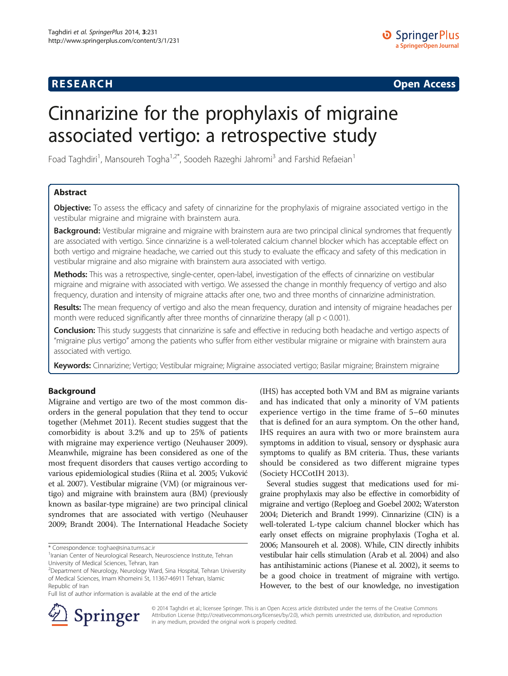# **RESEARCH RESEARCH CONSUMING ACCESS**

# Cinnarizine for the prophylaxis of migraine associated vertigo: a retrospective study

Foad Taghdiri<sup>1</sup>, Mansoureh Togha<sup>1,2\*</sup>, Soodeh Razeghi Jahromi<sup>3</sup> and Farshid Refaeian<sup>1</sup>

# Abstract

Objective: To assess the efficacy and safety of cinnarizine for the prophylaxis of migraine associated vertigo in the vestibular migraine and migraine with brainstem aura.

Background: Vestibular migraine and migraine with brainstem aura are two principal clinical syndromes that frequently are associated with vertigo. Since cinnarizine is a well-tolerated calcium channel blocker which has acceptable effect on both vertigo and migraine headache, we carried out this study to evaluate the efficacy and safety of this medication in vestibular migraine and also migraine with brainstem aura associated with vertigo.

Methods: This was a retrospective, single-center, open-label, investigation of the effects of cinnarizine on vestibular migraine and migraine with associated with vertigo. We assessed the change in monthly frequency of vertigo and also frequency, duration and intensity of migraine attacks after one, two and three months of cinnarizine administration.

Results: The mean frequency of vertigo and also the mean frequency, duration and intensity of migraine headaches per month were reduced significantly after three months of cinnarizine therapy (all  $p < 0.001$ ).

Conclusion: This study suggests that cinnarizine is safe and effective in reducing both headache and vertigo aspects of "migraine plus vertigo" among the patients who suffer from either vestibular migraine or migraine with brainstem aura associated with vertigo.

Keywords: Cinnarizine; Vertigo; Vestibular migraine; Migraine associated vertigo; Basilar migraine; Brainstem migraine

# Background

Migraine and vertigo are two of the most common disorders in the general population that they tend to occur together (Mehmet [2011](#page-4-0)). Recent studies suggest that the comorbidity is about 3.2% and up to 25% of patients with migraine may experience vertigo (Neuhauser [2009](#page-4-0)). Meanwhile, migraine has been considered as one of the most frequent disorders that causes vertigo according to various epidemiological studies (Riina et al. [2005;](#page-4-0) Vuković et al. [2007\)](#page-4-0). Vestibular migraine (VM) (or migrainous vertigo) and migraine with brainstem aura (BM) (previously known as basilar-type migraine) are two principal clinical syndromes that are associated with vertigo (Neuhauser [2009;](#page-4-0) Brandt [2004\)](#page-4-0). The International Headache Society

\* Correspondence: [toghae@sina.tums.ac.ir](mailto:toghae@sina.tums.ac.ir) <sup>1</sup>

<sup>1</sup> Iranian Center of Neurological Research, Neuroscience Institute, Tehran University of Medical Sciences, Tehran, Iran

Full list of author information is available at the end of the article

(IHS) has accepted both VM and BM as migraine variants and has indicated that only a minority of VM patients experience vertigo in the time frame of 5–60 minutes that is defined for an aura symptom. On the other hand, IHS requires an aura with two or more brainstem aura symptoms in addition to visual, sensory or dysphasic aura symptoms to qualify as BM criteria. Thus, these variants should be considered as two different migraine types (Society HCCotIH [2013\)](#page-4-0).

Several studies suggest that medications used for migraine prophylaxis may also be effective in comorbidity of migraine and vertigo (Reploeg and Goebel [2002](#page-4-0); Waterston [2004;](#page-4-0) Dieterich and Brandt [1999](#page-4-0)). Cinnarizine (CIN) is a well-tolerated L-type calcium channel blocker which has early onset effects on migraine prophylaxis (Togha et al. [2006;](#page-4-0) Mansoureh et al. [2008\)](#page-4-0). While, CIN directly inhibits vestibular hair cells stimulation (Arab et al. [2004](#page-4-0)) and also has antihistaminic actions (Pianese et al. [2002](#page-4-0)), it seems to be a good choice in treatment of migraine with vertigo. However, to the best of our knowledge, no investigation



© 2014 Taghdiri et al.; licensee Springer. This is an Open Access article distributed under the terms of the Creative Commons Attribution License [\(http://creativecommons.org/licenses/by/2.0\)](http://creativecommons.org/licenses/by/2.0), which permits unrestricted use, distribution, and reproduction in any medium, provided the original work is properly credited.

<sup>&</sup>lt;sup>2</sup>Department of Neurology, Neurology Ward, Sina Hospital, Tehran University of Medical Sciences, Imam Khomeini St, 11367-46911 Tehran, Islamic Republic of Iran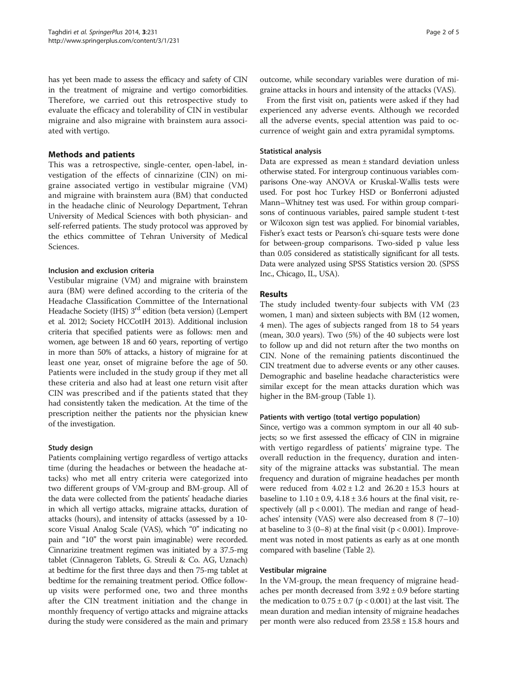has yet been made to assess the efficacy and safety of CIN in the treatment of migraine and vertigo comorbidities. Therefore, we carried out this retrospective study to evaluate the efficacy and tolerability of CIN in vestibular migraine and also migraine with brainstem aura associated with vertigo.

# Methods and patients

This was a retrospective, single-center, open-label, investigation of the effects of cinnarizine (CIN) on migraine associated vertigo in vestibular migraine (VM) and migraine with brainstem aura (BM) that conducted in the headache clinic of Neurology Department, Tehran University of Medical Sciences with both physician- and self-referred patients. The study protocol was approved by the ethics committee of Tehran University of Medical Sciences.

# Inclusion and exclusion criteria

Vestibular migraine (VM) and migraine with brainstem aura (BM) were defined according to the criteria of the Headache Classification Committee of the International Headache Society (IHS) 3<sup>rd</sup> edition (beta version) (Lempert et al. [2012;](#page-4-0) Society HCCotIH [2013\)](#page-4-0). Additional inclusion criteria that specified patients were as follows: men and women, age between 18 and 60 years, reporting of vertigo in more than 50% of attacks, a history of migraine for at least one year, onset of migraine before the age of 50. Patients were included in the study group if they met all these criteria and also had at least one return visit after CIN was prescribed and if the patients stated that they had consistently taken the medication. At the time of the prescription neither the patients nor the physician knew of the investigation.

# Study design

Patients complaining vertigo regardless of vertigo attacks time (during the headaches or between the headache attacks) who met all entry criteria were categorized into two different groups of VM-group and BM-group. All of the data were collected from the patients' headache diaries in which all vertigo attacks, migraine attacks, duration of attacks (hours), and intensity of attacks (assessed by a 10 score Visual Analog Scale (VAS), which "0" indicating no pain and "10" the worst pain imaginable) were recorded. Cinnarizine treatment regimen was initiated by a 37.5-mg tablet (Cinnageron Tablets, G. Streuli & Co. AG, Uznach) at bedtime for the first three days and then 75-mg tablet at bedtime for the remaining treatment period. Office followup visits were performed one, two and three months after the CIN treatment initiation and the change in monthly frequency of vertigo attacks and migraine attacks during the study were considered as the main and primary

outcome, while secondary variables were duration of migraine attacks in hours and intensity of the attacks (VAS).

From the first visit on, patients were asked if they had experienced any adverse events. Although we recorded all the adverse events, special attention was paid to occurrence of weight gain and extra pyramidal symptoms.

# Statistical analysis

Data are expressed as mean ± standard deviation unless otherwise stated. For intergroup continuous variables comparisons One-way ANOVA or Kruskal-Wallis tests were used. For post hoc Turkey HSD or Bonferroni adjusted Mann–Whitney test was used. For within group comparisons of continuous variables, paired sample student t-test or Wilcoxon sign test was applied. For binomial variables, Fisher's exact tests or Pearson's chi-square tests were done for between-group comparisons. Two-sided p value less than 0.05 considered as statistically significant for all tests. Data were analyzed using SPSS Statistics version 20. (SPSS Inc., Chicago, IL, USA).

# Results

The study included twenty-four subjects with VM (23 women, 1 man) and sixteen subjects with BM (12 women, 4 men). The ages of subjects ranged from 18 to 54 years (mean, 30.0 years). Two (5%) of the 40 subjects were lost to follow up and did not return after the two months on CIN. None of the remaining patients discontinued the CIN treatment due to adverse events or any other causes. Demographic and baseline headache characteristics were similar except for the mean attacks duration which was higher in the BM-group (Table [1](#page-2-0)).

# Patients with vertigo (total vertigo population)

Since, vertigo was a common symptom in our all 40 subjects; so we first assessed the efficacy of CIN in migraine with vertigo regardless of patients' migraine type. The overall reduction in the frequency, duration and intensity of the migraine attacks was substantial. The mean frequency and duration of migraine headaches per month were reduced from  $4.02 \pm 1.2$  and  $26.20 \pm 15.3$  hours at baseline to  $1.10 \pm 0.9$ ,  $4.18 \pm 3.6$  hours at the final visit, respectively (all  $p < 0.001$ ). The median and range of headaches' intensity (VAS) were also decreased from 8 (7–10) at baseline to 3 (0–8) at the final visit ( $p < 0.001$ ). Improvement was noted in most patients as early as at one month compared with baseline (Table [2](#page-2-0)).

# Vestibular migraine

In the VM-group, the mean frequency of migraine headaches per month decreased from  $3.92 \pm 0.9$  before starting the medication to  $0.75 \pm 0.7$  (p < 0.001) at the last visit. The mean duration and median intensity of migraine headaches per month were also reduced from  $23.58 \pm 15.8$  hours and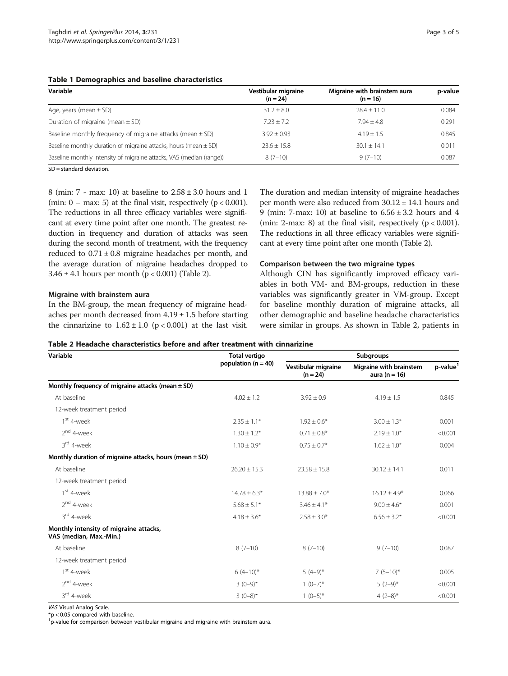#### <span id="page-2-0"></span>Table 1 Demographics and baseline characteristics

| Variable                                                             | Vestibular migraine<br>$(n = 24)$ | Migraine with brainstem aura<br>$(n = 16)$ | p-value |
|----------------------------------------------------------------------|-----------------------------------|--------------------------------------------|---------|
| Age, years (mean $\pm$ SD)                                           | $31.2 \pm 8.0$                    | $78.4 + 11.0$                              | 0.084   |
| Duration of migraine (mean $\pm$ SD)                                 | $7.23 + 7.2$                      | $7.94 + 4.8$                               | 0.291   |
| Baseline monthly frequency of migraine attacks (mean $\pm$ SD)       | $3.92 + 0.93$                     | $4.19 \pm 1.5$                             | 0.845   |
| Baseline monthly duration of migraine attacks, hours (mean $\pm$ SD) | $23.6 + 15.8$                     | $30.1 + 14.1$                              | 0.011   |
| Baseline monthly intensity of migraine attacks, VAS (median (range)) | $8(7-10)$                         | $9(7-10)$                                  | 0.087   |
|                                                                      |                                   |                                            |         |

SD = standard deviation.

8 (min:  $7 - \text{max: } 10$ ) at baseline to  $2.58 \pm 3.0$  hours and 1 (min:  $0 - \text{max}$ : 5) at the final visit, respectively ( $p < 0.001$ ). The reductions in all three efficacy variables were significant at every time point after one month. The greatest reduction in frequency and duration of attacks was seen during the second month of treatment, with the frequency reduced to  $0.71 \pm 0.8$  migraine headaches per month, and the average duration of migraine headaches dropped to 3.46  $\pm$  4.1 hours per month (p < 0.001) (Table 2).

#### Migraine with brainstem aura

In the BM-group, the mean frequency of migraine headaches per month decreased from  $4.19 \pm 1.5$  before starting the cinnarizine to  $1.62 \pm 1.0$  (p < 0.001) at the last visit.

The duration and median intensity of migraine headaches per month were also reduced from 30.12 ± 14.1 hours and 9 (min: 7-max: 10) at baseline to  $6.56 \pm 3.2$  hours and 4 (min: 2-max: 8) at the final visit, respectively  $(p < 0.001)$ . The reductions in all three efficacy variables were significant at every time point after one month (Table 2).

#### Comparison between the two migraine types

Although CIN has significantly improved efficacy variables in both VM- and BM-groups, reduction in these variables was significantly greater in VM-group. Except for baseline monthly duration of migraine attacks, all other demographic and baseline headache characteristics were similar in groups. As shown in Table 2, patients in

#### Table 2 Headache characteristics before and after treatment with cinnarizine

| Variable                                                          | <b>Total vertigo</b><br>population $(n = 40)$ | Subgroups                         |                                              |                      |
|-------------------------------------------------------------------|-----------------------------------------------|-----------------------------------|----------------------------------------------|----------------------|
|                                                                   |                                               | Vestibular migraine<br>$(n = 24)$ | Migraine with brainstem<br>aura ( $n = 16$ ) | p-value <sup>1</sup> |
| Monthly frequency of migraine attacks (mean $\pm$ SD)             |                                               |                                   |                                              |                      |
| At baseline                                                       | $4.02 \pm 1.2$                                | $3.92 \pm 0.9$                    | $4.19 \pm 1.5$                               | 0.845                |
| 12-week treatment period                                          |                                               |                                   |                                              |                      |
| $1st$ 4-week                                                      | $2.35 \pm 1.1*$                               | $1.92 \pm 0.6*$                   | $3.00 \pm 1.3*$                              | 0.001                |
| $2nd$ 4-week                                                      | $1.30 \pm 1.2*$                               | $0.71 \pm 0.8$ *                  | $2.19 \pm 1.0*$                              | < 0.001              |
| 3 <sup>rd</sup> 4-week                                            | $1.10 \pm 0.9*$                               | $0.75 \pm 0.7*$                   | $1.62 \pm 1.0*$                              | 0.004                |
| Monthly duration of migraine attacks, hours (mean $\pm$ SD)       |                                               |                                   |                                              |                      |
| At baseline                                                       | $26.20 \pm 15.3$                              | $23.58 \pm 15.8$                  | $30.12 \pm 14.1$                             | 0.011                |
| 12-week treatment period                                          |                                               |                                   |                                              |                      |
| $1st$ 4-week                                                      | $14.78 \pm 6.3*$                              | $13.88 \pm 7.0*$                  | $16.12 \pm 4.9*$                             | 0.066                |
| $2nd$ 4-week                                                      | $5.68 \pm 5.1*$                               | $3.46 \pm 4.1*$                   | $9.00 \pm 4.6*$                              | 0.001                |
| 3rd 4-week                                                        | $4.18 \pm 3.6*$                               | $2.58 \pm 3.0*$                   | $6.56 \pm 3.2*$                              | < 0.001              |
| Monthly intensity of migraine attacks,<br>VAS (median, Max.-Min.) |                                               |                                   |                                              |                      |
| At baseline                                                       | $8(7-10)$                                     | $8(7-10)$                         | $9(7-10)$                                    | 0.087                |
| 12-week treatment period                                          |                                               |                                   |                                              |                      |
| $1st$ 4-week                                                      | $6(4-10)*$                                    | $5(4-9)$ *                        | $7(5-10)^{*}$                                | 0.005                |
| $2nd$ 4-week                                                      | $3(0-9)*$                                     | $1(0-7)^{*}$                      | $5(2-9)$ *                                   | < 0.001              |
| 3rd 4-week                                                        | $3(0-8)$ *                                    | $1(0-5)*$                         | 4 $(2-8)$ *                                  | < 0.001              |

VAS Visual Analog Scale.

\*p < 0.05 compared with baseline.

<sup>1</sup>p-value for comparison between vestibular migraine and migraine with brainstem aura.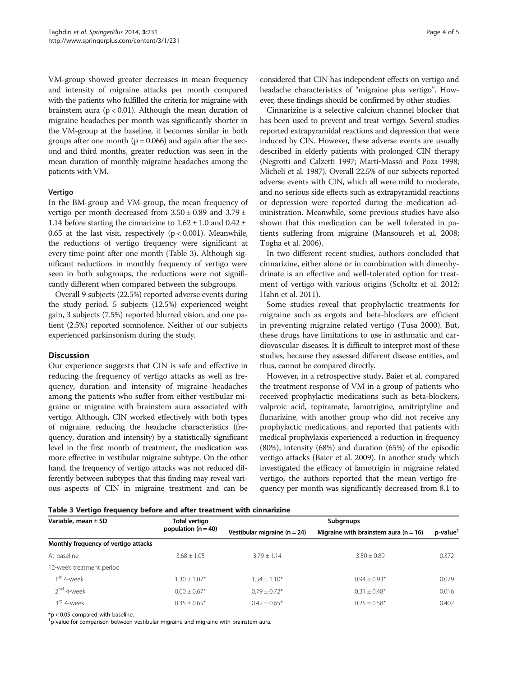VM-group showed greater decreases in mean frequency and intensity of migraine attacks per month compared with the patients who fulfilled the criteria for migraine with brainstem aura ( $p < 0.01$ ). Although the mean duration of migraine headaches per month was significantly shorter in the VM-group at the baseline, it becomes similar in both groups after one month ( $p = 0.066$ ) and again after the second and third months, greater reduction was seen in the mean duration of monthly migraine headaches among the patients with VM.

#### Vertigo

In the BM-group and VM-group, the mean frequency of vertigo per month decreased from  $3.50 \pm 0.89$  and  $3.79 \pm$ 1.14 before starting the cinnarizine to  $1.62 \pm 1.0$  and  $0.42 \pm 1.0$ 0.65 at the last visit, respectively  $(p < 0.001)$ . Meanwhile, the reductions of vertigo frequency were significant at every time point after one month (Table 3). Although significant reductions in monthly frequency of vertigo were seen in both subgroups, the reductions were not significantly different when compared between the subgroups.

Overall 9 subjects (22.5%) reported adverse events during the study period. 5 subjects (12.5%) experienced weight gain, 3 subjects (7.5%) reported blurred vision, and one patient (2.5%) reported somnolence. Neither of our subjects experienced parkinsonism during the study.

#### **Discussion**

Our experience suggests that CIN is safe and effective in reducing the frequency of vertigo attacks as well as frequency, duration and intensity of migraine headaches among the patients who suffer from either vestibular migraine or migraine with brainstem aura associated with vertigo. Although, CIN worked effectively with both types of migraine, reducing the headache characteristics (frequency, duration and intensity) by a statistically significant level in the first month of treatment, the medication was more effective in vestibular migraine subtype. On the other hand, the frequency of vertigo attacks was not reduced differently between subtypes that this finding may reveal various aspects of CIN in migraine treatment and can be

considered that CIN has independent effects on vertigo and headache characteristics of "migraine plus vertigo". However, these findings should be confirmed by other studies.

Cinnarizine is a selective calcium channel blocker that has been used to prevent and treat vertigo. Several studies reported extrapyramidal reactions and depression that were induced by CIN. However, these adverse events are usually described in elderly patients with prolonged CIN therapy (Negrotti and Calzetti [1997;](#page-4-0) Martí‐Massó and Poza [1998](#page-4-0); Micheli et al. [1987](#page-4-0)). Overall 22.5% of our subjects reported adverse events with CIN, which all were mild to moderate, and no serious side effects such as extrapyramidal reactions or depression were reported during the medication administration. Meanwhile, some previous studies have also shown that this medication can be well tolerated in patients suffering from migraine (Mansoureh et al. [2008](#page-4-0); Togha et al. [2006\)](#page-4-0).

In two different recent studies, authors concluded that cinnarizine, either alone or in combination with dimenhydrinate is an effective and well-tolerated option for treatment of vertigo with various origins (Scholtz et al. [2012](#page-4-0); Hahn et al. [2011](#page-4-0)).

Some studies reveal that prophylactic treatments for migraine such as ergots and beta-blockers are efficient in preventing migraine related vertigo (Tusa [2000\)](#page-4-0). But, these drugs have limitations to use in asthmatic and cardiovascular diseases. It is difficult to interpret most of these studies, because they assessed different disease entities, and thus, cannot be compared directly.

However, in a retrospective study, Baier et al. compared the treatment response of VM in a group of patients who received prophylactic medications such as beta-blockers, valproic acid, topiramate, lamotrigine, amitriptyline and flunarizine, with another group who did not receive any prophylactic medications, and reported that patients with medical prophylaxis experienced a reduction in frequency (80%), intensity (68%) and duration (65%) of the episodic vertigo attacks (Baier et al. [2009](#page-4-0)). In another study which investigated the efficacy of lamotrigin in migraine related vertigo, the authors reported that the mean vertigo frequency per month was significantly decreased from 8.1 to

Table 3 Vertigo frequency before and after treatment with cinnarizine

| Variable, mean ± SD                  | Total vertigo<br>population ( $n = 40$ ) | <b>Subgroups</b>                 |                                           |         |  |
|--------------------------------------|------------------------------------------|----------------------------------|-------------------------------------------|---------|--|
|                                      |                                          | Vestibular migraine ( $n = 24$ ) | Migraine with brainstem aura ( $n = 16$ ) | p-value |  |
| Monthly frequency of vertigo attacks |                                          |                                  |                                           |         |  |
| At baseline                          | $3.68 \pm 1.05$                          | $3.79 + 1.14$                    | $3.50 + 0.89$                             | 0.372   |  |
| 12-week treatment period             |                                          |                                  |                                           |         |  |
| $1st$ 4-week                         | $1.30 + 1.07*$                           | $1.54 \pm 1.10*$                 | $0.94 + 0.93*$                            | 0.079   |  |
| 2 <sup>nd</sup> 4-week               | $0.60 \pm 0.67*$                         | $0.79 + 0.72*$                   | $0.31 \pm 0.48*$                          | 0.016   |  |
| 3 <sup>rd</sup> 4-week               | $0.35 \pm 0.65*$                         | $0.42 + 0.65*$                   | $0.25 + 0.58*$                            | 0.402   |  |

\*p < 0.05 compared with baseline.

<sup>1</sup>p-value for comparison between vestibular migraine and migraine with brainstem aura.